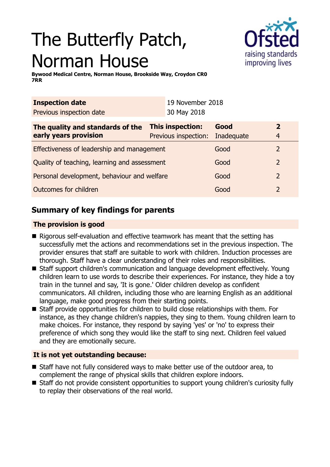# The Butterfly Patch, Norman House



**Bywood Medical Centre, Norman House, Brookside Way, Croydon CR0 7RR**

| <b>Inspection date</b>                       |                  | 19 November 2018     |            |                |
|----------------------------------------------|------------------|----------------------|------------|----------------|
| Previous inspection date                     |                  | 30 May 2018          |            |                |
| The quality and standards of the             | This inspection: |                      | Good       | $\overline{2}$ |
| early years provision                        |                  | Previous inspection: | Inadequate | 4              |
| Effectiveness of leadership and management   |                  |                      | Good       | $\overline{2}$ |
| Quality of teaching, learning and assessment |                  |                      | Good       | 2              |
| Personal development, behaviour and welfare  |                  |                      | Good       | 2              |
| Outcomes for children                        |                  |                      | Good       | 2              |
|                                              |                  |                      |            |                |

# **Summary of key findings for parents**

## **The provision is good**

- $\blacksquare$  Rigorous self-evaluation and effective teamwork has meant that the setting has successfully met the actions and recommendations set in the previous inspection. The provider ensures that staff are suitable to work with children. Induction processes are thorough. Staff have a clear understanding of their roles and responsibilities.
- Staff support children's communication and language development effectively. Young children learn to use words to describe their experiences. For instance, they hide a toy train in the tunnel and say, 'It is gone.' Older children develop as confident communicators. All children, including those who are learning English as an additional language, make good progress from their starting points.
- Staff provide opportunities for children to build close relationships with them. For instance, as they change children's nappies, they sing to them. Young children learn to make choices. For instance, they respond by saying 'yes' or 'no' to express their preference of which song they would like the staff to sing next. Children feel valued and they are emotionally secure.

## **It is not yet outstanding because:**

- Staff have not fully considered ways to make better use of the outdoor area, to complement the range of physical skills that children explore indoors.
- Staff do not provide consistent opportunities to support young children's curiosity fully to replay their observations of the real world.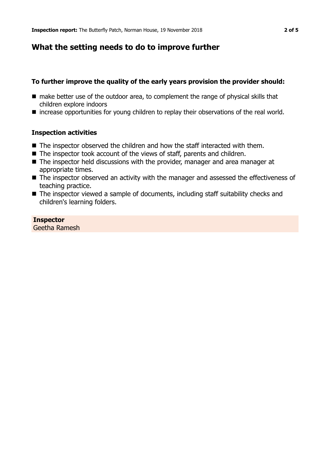## **What the setting needs to do to improve further**

#### **To further improve the quality of the early years provision the provider should:**

- make better use of the outdoor area, to complement the range of physical skills that children explore indoors
- $\blacksquare$  increase opportunities for young children to replay their observations of the real world.

#### **Inspection activities**

- $\blacksquare$  The inspector observed the children and how the staff interacted with them.
- $\blacksquare$  The inspector took account of the views of staff, parents and children.
- The inspector held discussions with the provider, manager and area manager at appropriate times.
- The inspector observed an activity with the manager and assessed the effectiveness of teaching practice.
- $\blacksquare$  The inspector viewed a sample of documents, including staff suitability checks and children's learning folders.

## **Inspector**

Geetha Ramesh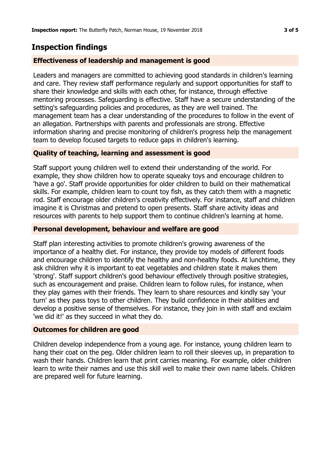## **Inspection findings**

## **Effectiveness of leadership and management is good**

Leaders and managers are committed to achieving good standards in children's learning and care. They review staff performance regularly and support opportunities for staff to share their knowledge and skills with each other, for instance, through effective mentoring processes. Safeguarding is effective. Staff have a secure understanding of the setting's safeguarding policies and procedures, as they are well trained. The management team has a clear understanding of the procedures to follow in the event of an allegation. Partnerships with parents and professionals are strong. Effective information sharing and precise monitoring of children's progress help the management team to develop focused targets to reduce gaps in children's learning.

## **Quality of teaching, learning and assessment is good**

Staff support young children well to extend their understanding of the world. For example, they show children how to operate squeaky toys and encourage children to 'have a go'. Staff provide opportunities for older children to build on their mathematical skills. For example, children learn to count toy fish, as they catch them with a magnetic rod. Staff encourage older children's creativity effectively. For instance, staff and children imagine it is Christmas and pretend to open presents. Staff share activity ideas and resources with parents to help support them to continue children's learning at home.

### **Personal development, behaviour and welfare are good**

Staff plan interesting activities to promote children's growing awareness of the importance of a healthy diet. For instance, they provide toy models of different foods and encourage children to identify the healthy and non-healthy foods. At lunchtime, they ask children why it is important to eat vegetables and children state it makes them 'strong'. Staff support children's good behaviour effectively through positive strategies, such as encouragement and praise. Children learn to follow rules, for instance, when they play games with their friends. They learn to share resources and kindly say 'your turn' as they pass toys to other children. They build confidence in their abilities and develop a positive sense of themselves. For instance, they join in with staff and exclaim 'we did it!' as they succeed in what they do.

### **Outcomes for children are good**

Children develop independence from a young age. For instance, young children learn to hang their coat on the peg. Older children learn to roll their sleeves up, in preparation to wash their hands. Children learn that print carries meaning. For example, older children learn to write their names and use this skill well to make their own name labels. Children are prepared well for future learning.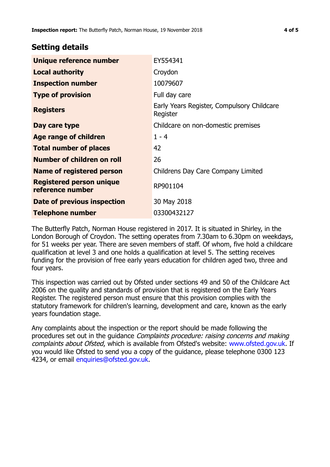## **Setting details**

| Unique reference number                             | EY554341                                               |
|-----------------------------------------------------|--------------------------------------------------------|
| <b>Local authority</b>                              | Croydon                                                |
| <b>Inspection number</b>                            | 10079607                                               |
| <b>Type of provision</b>                            | Full day care                                          |
| <b>Registers</b>                                    | Early Years Register, Compulsory Childcare<br>Register |
| Day care type                                       | Childcare on non-domestic premises                     |
| Age range of children                               | $1 - 4$                                                |
| <b>Total number of places</b>                       | 42                                                     |
| Number of children on roll                          | 26                                                     |
| Name of registered person                           | Childrens Day Care Company Limited                     |
| <b>Registered person unique</b><br>reference number | RP901104                                               |
| Date of previous inspection                         | 30 May 2018                                            |
| <b>Telephone number</b>                             | 03300432127                                            |

The Butterfly Patch, Norman House registered in 2017. It is situated in Shirley, in the London Borough of Croydon. The setting operates from 7.30am to 6.30pm on weekdays, for 51 weeks per year. There are seven members of staff. Of whom, five hold a childcare qualification at level 3 and one holds a qualification at level 5. The setting receives funding for the provision of free early years education for children aged two, three and four years.

This inspection was carried out by Ofsted under sections 49 and 50 of the Childcare Act 2006 on the quality and standards of provision that is registered on the Early Years Register. The registered person must ensure that this provision complies with the statutory framework for children's learning, development and care, known as the early years foundation stage.

Any complaints about the inspection or the report should be made following the procedures set out in the guidance Complaints procedure: raising concerns and making complaints about Ofsted, which is available from Ofsted's website: www.ofsted.gov.uk. If you would like Ofsted to send you a copy of the guidance, please telephone 0300 123 4234, or email [enquiries@ofsted.gov.uk.](mailto:enquiries@ofsted.gov.uk)